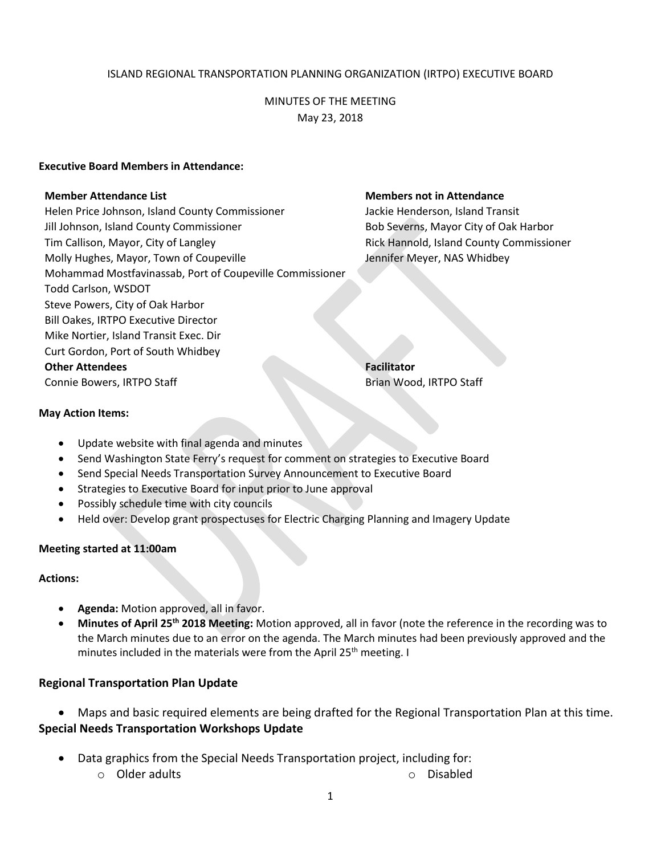### ISLAND REGIONAL TRANSPORTATION PLANNING ORGANIZATION (IRTPO) EXECUTIVE BOARD

# MINUTES OF THE MEETING May 23, 2018

#### **Executive Board Members in Attendance:**

Helen Price Johnson, Island County Commissioner **Jackie Henderson, Island Transit** Jill Johnson, Island County Commissioner **Bob Severns, Mayor City of Oak Harbor** Bob Severns, Mayor City of Oak Harbor Tim Callison, Mayor, City of Langley **Rick Hannold, Island County Commissioner** Rick Hannold, Island County Commissioner Molly Hughes, Mayor, Town of Coupeville Governorship Memorial Meyer, NAS Whidbey Mohammad Mostfavinassab, Port of Coupeville Commissioner Todd Carlson, WSDOT Steve Powers, City of Oak Harbor Bill Oakes, IRTPO Executive Director Mike Nortier, Island Transit Exec. Dir Curt Gordon, Port of South Whidbey **Other Attendees Facilitator** Connie Bowers, IRTPO Staff Brian Wood, IRTPO Staff Brian Wood, IRTPO Staff

#### **Member Attendance List Members not in Attendance**

#### **May Action Items:**

- Update website with final agenda and minutes
- Send Washington State Ferry's request for comment on strategies to Executive Board
- Send Special Needs Transportation Survey Announcement to Executive Board
- Strategies to Executive Board for input prior to June approval
- Possibly schedule time with city councils
- Held over: Develop grant prospectuses for Electric Charging Planning and Imagery Update

#### **Meeting started at 11:00am**

#### **Actions:**

- **Agenda:** Motion approved, all in favor.
- **Minutes of April 25th 2018 Meeting:** Motion approved, all in favor (note the reference in the recording was to the March minutes due to an error on the agenda. The March minutes had been previously approved and the minutes included in the materials were from the April 25<sup>th</sup> meeting. I

# **Regional Transportation Plan Update**

 Maps and basic required elements are being drafted for the Regional Transportation Plan at this time. **Special Needs Transportation Workshops Update** 

- Data graphics from the Special Needs Transportation project, including for:
	- o Older adults o Disabled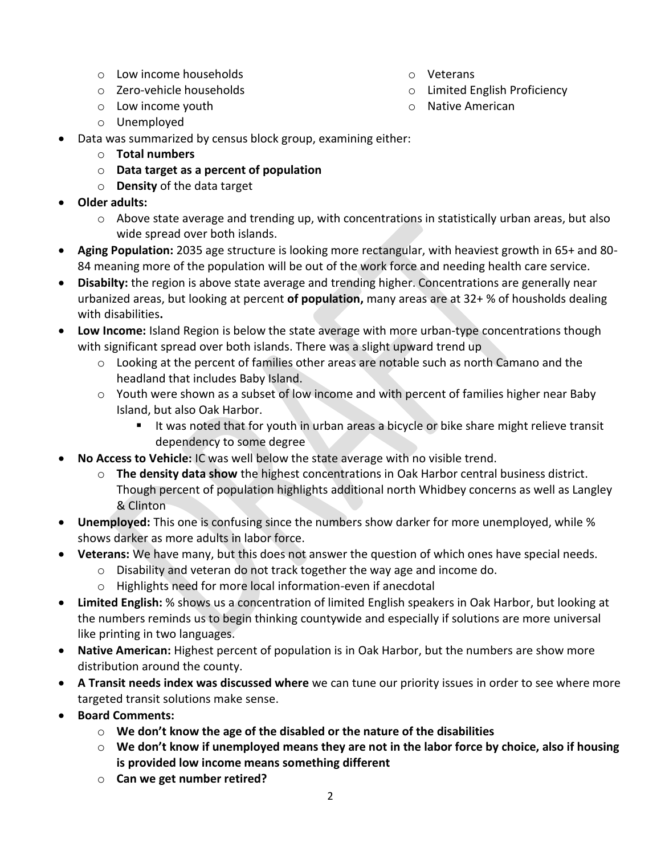- o Low income households
- o Zero-vehicle households
- o Low income youth
- o Unemployed
- Data was summarized by census block group, examining either:
	- o **Total numbers**
	- o **Data target as a percent of population**
	- o **Density** of the data target
- **Older adults:**
	- $\circ$  Above state average and trending up, with concentrations in statistically urban areas, but also wide spread over both islands.
- **Aging Population:** 2035 age structure is looking more rectangular, with heaviest growth in 65+ and 80- 84 meaning more of the population will be out of the work force and needing health care service.
- **Disabilty:** the region is above state average and trending higher. Concentrations are generally near urbanized areas, but looking at percent **of population,** many areas are at 32+ % of housholds dealing with disabilities**.**
- **Low Income:** Island Region is below the state average with more urban-type concentrations though with significant spread over both islands. There was a slight upward trend up
	- $\circ$  Looking at the percent of families other areas are notable such as north Camano and the headland that includes Baby Island.
	- o Youth were shown as a subset of low income and with percent of families higher near Baby Island, but also Oak Harbor.
		- If It was noted that for youth in urban areas a bicycle or bike share might relieve transit dependency to some degree
- **No Access to Vehicle:** IC was well below the state average with no visible trend.
	- o **The density data show** the highest concentrations in Oak Harbor central business district. Though percent of population highlights additional north Whidbey concerns as well as Langley & Clinton
- **Unemployed:** This one is confusing since the numbers show darker for more unemployed, while % shows darker as more adults in labor force.
- **Veterans:** We have many, but this does not answer the question of which ones have special needs.
	- o Disability and veteran do not track together the way age and income do.
	- o Highlights need for more local information-even if anecdotal
- **Limited English:** % shows us a concentration of limited English speakers in Oak Harbor, but looking at the numbers reminds us to begin thinking countywide and especially if solutions are more universal like printing in two languages.
- **Native American:** Highest percent of population is in Oak Harbor, but the numbers are show more distribution around the county.
- **A Transit needs index was discussed where** we can tune our priority issues in order to see where more targeted transit solutions make sense.
- **Board Comments:** 
	- o **We don't know the age of the disabled or the nature of the disabilities**
	- o **We don't know if unemployed means they are not in the labor force by choice, also if housing is provided low income means something different**
	- o **Can we get number retired?**
- o Veterans
- o Limited English Proficiency
- o Native American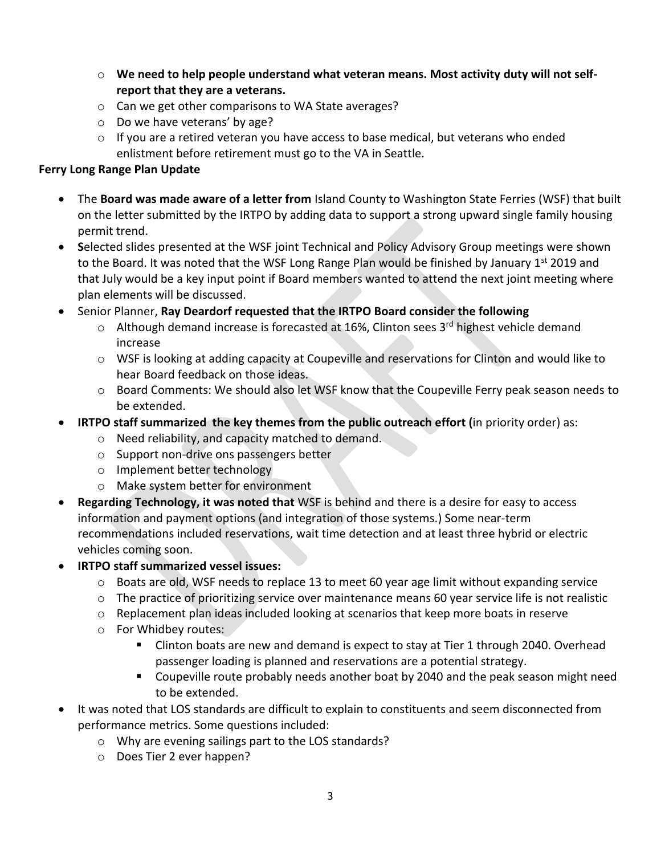- o **We need to help people understand what veteran means. Most activity duty will not selfreport that they are a veterans.**
- o Can we get other comparisons to WA State averages?
- o Do we have veterans' by age?
- $\circ$  If you are a retired veteran you have access to base medical, but veterans who ended enlistment before retirement must go to the VA in Seattle.

# **Ferry Long Range Plan Update**

- The **Board was made aware of a letter from** Island County to Washington State Ferries (WSF) that built on the letter submitted by the IRTPO by adding data to support a strong upward single family housing permit trend.
- **S**elected slides presented at the WSF joint Technical and Policy Advisory Group meetings were shown to the Board. It was noted that the WSF Long Range Plan would be finished by January  $1^{st}$  2019 and that July would be a key input point if Board members wanted to attend the next joint meeting where plan elements will be discussed.
- Senior Planner, **Ray Deardorf requested that the IRTPO Board consider the following**
	- Although demand increase is forecasted at 16%, Clinton sees 3<sup>rd</sup> highest vehicle demand increase
	- $\circ$  WSF is looking at adding capacity at Coupeville and reservations for Clinton and would like to hear Board feedback on those ideas.
	- $\circ$  Board Comments: We should also let WSF know that the Coupeville Ferry peak season needs to be extended.
- **IRTPO staff summarized the key themes from the public outreach effort (**in priority order) as:
	- o Need reliability, and capacity matched to demand.
	- o Support non-drive ons passengers better
	- o Implement better technology
	- o Make system better for environment
- **Regarding Technology, it was noted that** WSF is behind and there is a desire for easy to access information and payment options (and integration of those systems.) Some near-term recommendations included reservations, wait time detection and at least three hybrid or electric vehicles coming soon.
- **IRTPO staff summarized vessel issues:**
	- o Boats are old, WSF needs to replace 13 to meet 60 year age limit without expanding service
	- $\circ$  The practice of prioritizing service over maintenance means 60 year service life is not realistic
	- $\circ$  Replacement plan ideas included looking at scenarios that keep more boats in reserve
	- o For Whidbey routes:
		- **EXTER** Clinton boats are new and demand is expect to stay at Tier 1 through 2040. Overhead passenger loading is planned and reservations are a potential strategy.
		- **Coupeville route probably needs another boat by 2040 and the peak season might need** to be extended.
- It was noted that LOS standards are difficult to explain to constituents and seem disconnected from performance metrics. Some questions included:
	- o Why are evening sailings part to the LOS standards?
	- o Does Tier 2 ever happen?